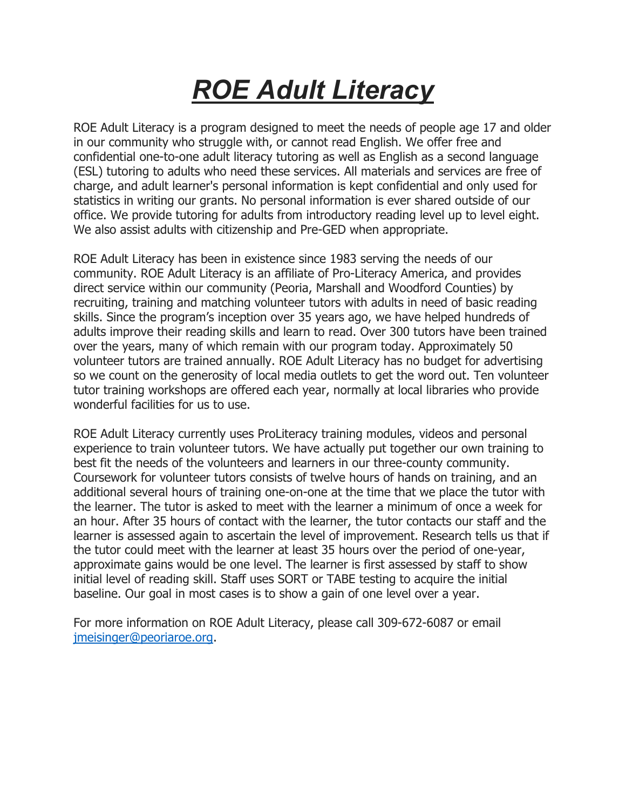# *ROE Adult Literacy*

ROE Adult Literacy is a program designed to meet the needs of people age 17 and older in our community who struggle with, or cannot read English. We offer free and confidential one-to-one adult literacy tutoring as well as English as a second language (ESL) tutoring to adults who need these services. All materials and services are free of charge, and adult learner's personal information is kept confidential and only used for statistics in writing our grants. No personal information is ever shared outside of our office. We provide tutoring for adults from introductory reading level up to level eight. We also assist adults with citizenship and Pre-GED when appropriate.

ROE Adult Literacy has been in existence since 1983 serving the needs of our community. ROE Adult Literacy is an affiliate of Pro-Literacy America, and provides direct service within our community (Peoria, Marshall and Woodford Counties) by recruiting, training and matching volunteer tutors with adults in need of basic reading skills. Since the program's inception over 35 years ago, we have helped hundreds of adults improve their reading skills and learn to read. Over 300 tutors have been trained over the years, many of which remain with our program today. Approximately 50 volunteer tutors are trained annually. ROE Adult Literacy has no budget for advertising so we count on the generosity of local media outlets to get the word out. Ten volunteer tutor training workshops are offered each year, normally at local libraries who provide wonderful facilities for us to use.

ROE Adult Literacy currently uses ProLiteracy training modules, videos and personal experience to train volunteer tutors. We have actually put together our own training to best fit the needs of the volunteers and learners in our three-county community. Coursework for volunteer tutors consists of twelve hours of hands on training, and an additional several hours of training one-on-one at the time that we place the tutor with the learner. The tutor is asked to meet with the learner a minimum of once a week for an hour. After 35 hours of contact with the learner, the tutor contacts our staff and the learner is assessed again to ascertain the level of improvement. Research tells us that if the tutor could meet with the learner at least 35 hours over the period of one-year, approximate gains would be one level. The learner is first assessed by staff to show initial level of reading skill. Staff uses SORT or TABE testing to acquire the initial baseline. Our goal in most cases is to show a gain of one level over a year.

For more information on ROE Adult Literacy, please call 309-672-6087 or email [jmeisinger@peoriaroe.org](mailto:jmeisinger@peoriaroe.org).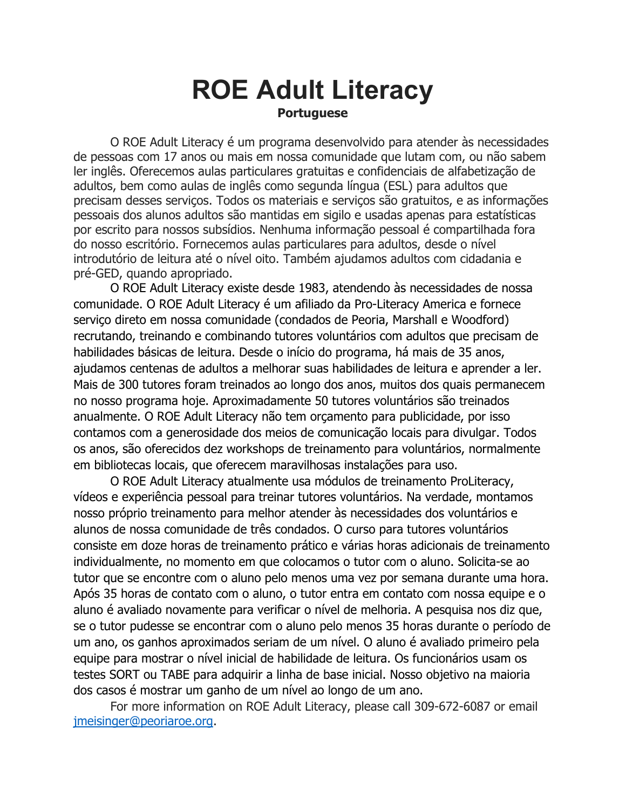#### **ROE Adult Literacy Portuguese**

O ROE Adult Literacy é um programa desenvolvido para atender às necessidades de pessoas com 17 anos ou mais em nossa comunidade que lutam com, ou não sabem ler inglês. Oferecemos aulas particulares gratuitas e confidenciais de alfabetização de adultos, bem como aulas de inglês como segunda língua (ESL) para adultos que precisam desses serviços. Todos os materiais e serviços são gratuitos, e as informações pessoais dos alunos adultos são mantidas em sigilo e usadas apenas para estatísticas por escrito para nossos subsídios. Nenhuma informação pessoal é compartilhada fora do nosso escritório. Fornecemos aulas particulares para adultos, desde o nível introdutório de leitura até o nível oito. Também ajudamos adultos com cidadania e pré-GED, quando apropriado.

O ROE Adult Literacy existe desde 1983, atendendo às necessidades de nossa comunidade. O ROE Adult Literacy é um afiliado da Pro-Literacy America e fornece serviço direto em nossa comunidade (condados de Peoria, Marshall e Woodford) recrutando, treinando e combinando tutores voluntários com adultos que precisam de habilidades básicas de leitura. Desde o início do programa, há mais de 35 anos, ajudamos centenas de adultos a melhorar suas habilidades de leitura e aprender a ler. Mais de 300 tutores foram treinados ao longo dos anos, muitos dos quais permanecem no nosso programa hoje. Aproximadamente 50 tutores voluntários são treinados anualmente. O ROE Adult Literacy não tem orçamento para publicidade, por isso contamos com a generosidade dos meios de comunicação locais para divulgar. Todos os anos, são oferecidos dez workshops de treinamento para voluntários, normalmente em bibliotecas locais, que oferecem maravilhosas instalações para uso.

O ROE Adult Literacy atualmente usa módulos de treinamento ProLiteracy, vídeos e experiência pessoal para treinar tutores voluntários. Na verdade, montamos nosso próprio treinamento para melhor atender às necessidades dos voluntários e alunos de nossa comunidade de três condados. O curso para tutores voluntários consiste em doze horas de treinamento prático e várias horas adicionais de treinamento individualmente, no momento em que colocamos o tutor com o aluno. Solicita-se ao tutor que se encontre com o aluno pelo menos uma vez por semana durante uma hora. Após 35 horas de contato com o aluno, o tutor entra em contato com nossa equipe e o aluno é avaliado novamente para verificar o nível de melhoria. A pesquisa nos diz que, se o tutor pudesse se encontrar com o aluno pelo menos 35 horas durante o período de um ano, os ganhos aproximados seriam de um nível. O aluno é avaliado primeiro pela equipe para mostrar o nível inicial de habilidade de leitura. Os funcionários usam os testes SORT ou TABE para adquirir a linha de base inicial. Nosso objetivo na maioria dos casos é mostrar um ganho de um nível ao longo de um ano.

For more information on ROE Adult Literacy, please call 309-672-6087 or email [jmeisinger@peoriaroe.org](mailto:jmeisinger@peoriaroe.org).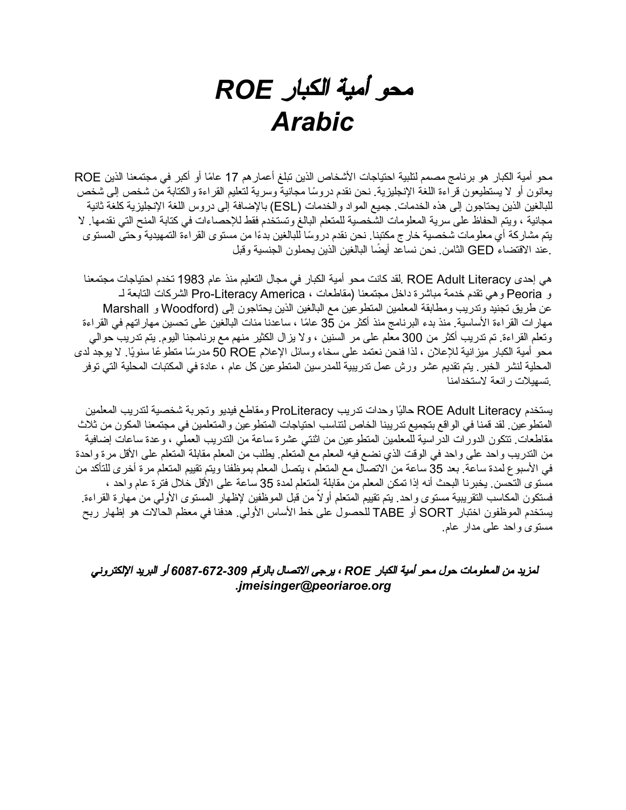## محو أمیة الكبار *ROE Arabic*

محو أمیة الكبار هو برنامج مصمم لتلبیة احتیاجات الأشخاص الذین تبلغ أعمارهم 17 ً عاما أو أكبر في مجتمعنا الذین ROE ً یعانون أو لا یستطیعون قراءة اللغة الإنجلیزیة. نحن نقدم دروسا مجانیة وسریة لتعلیم القراءة والكتابة من شخص إلى شخص للبالغین الذین یحتاجون إلى هذه الخدمات. جمیع المواد والخدمات (ESL (بالإضافة إلى دروس اللغة الإنجلیزیة كلغة ثانیة مجانیة ، ویتم الحفاظ على سریة المعلومات الشخصیة للمتعلم البالغ وتستخدم فقط للإحصاءات في كتابة المنح التي نقدمها. لا يتم مشاركة أي معلومات شخصية خارج مكتبنا. نحن نقدم دروسًا للبالغين بدءًا من مستوى القراءة التمهيدية وحتى المستوى .عند الاقتضاء GED ً الثامن. نحن نساعد أیضا البالغین الذین یحملون الجنسیة وقبل

هي إحدى Literacy Adult ROE .لقد كانت محو أمیة الكبار في مجال التعلیم منذ عام 1983 تخدم احتیاجات مجتمعنا و Peoria وهي تقدم خدمة مباشرة داخل مجتمعنا (مقاطعات ، America Literacy-Pro الشركات التابعة لـ عن طریق تجنید وتدریب ومطابقة المعلمین المتطوعین مع البالغین الذین یحتاجون إلى (Woodford و Marshall مهارات القراءة الأساسیة. منذ بدء البرنامج منذ أكثر من 35 عامًا ، ساعدنا مئات البالغین على تحسین مهاراتهم في القراءة وتعلم القراءة. تم تدریب أكثر من 300 معلم على مر السنین ، ولا یزال الكثیر منهم مع برنامجنا الیوم. یتم تدریب حوالي محو أمیة الكبار میزانیة للإعلان ، لذا فنحن نعتمد على سخاء وسائل الإعلام ROE مدرسًا متطوعًا سنویًا. لا یوجد لدى المحلیة لنشر الخبر. یتم تقدیم عشر ورش عمل تدریبیة للمدرسین المتطوعین كل عام ، عادة في المكتبات المحلیة التي توفر .تسهیلات رائعة لاستخدامنا

یستخدم Literacy Adult ROE حالیًا وحدات تدریب ProLiteracy ومقاطع فیدیو وتجربة شخصیة لتدریب المعلمین المتطوعین. لقد قمنا في الواقع بتجمیع تدریبنا الخاص لتناسب احتیاجات المتطوعین والمتعلمین في مجتمعنا المكون من ثلاث مقاطعات. تتكون الدورات الدراسیة للمعلمین المتطوعین من اثنتي عشرة ساعة من التدریب العملي ، وعدة ساعات إضافیة من التدریب واحد على واحد في الوقت الذي نضع فیه المعلم مع المتعلم. یطلب من المعلم مقابلة المتعلم على الأقل مرة واحدة في الأسبوع لمدة ساعة. بعد 35 ساعة من الاتصال مع المتعلم ، یتصل المعلم بموظفنا ویتم تقییم المتعلم مرة أخرى للتأكد من مستوى التحسن. یخبرنا البحث أنه إذا تمكن المعلم من مقابلة المتعلم لمدة 35 ساعة على الأقل خلال فترة عام واحد ، ً فستكون المكاسب التقریبیة مستوى واحد. یتم تقییم المتعلم أولا من قبل الموظفین لإظهار المستوى الأولي من مهارة القراءة. یستخدم الموظفون اختبار SORT أو TABE للحصول على خط الأساس الأولي. هدفنا في معظم الحالات هو إظهار ربح مستوى واحد على مدار عام.

لمزید من المعلومات حول محو أمیة الكبار *ROE* ، یرجى الاتصال بالرقم *6087-672-309* أو البرید الإلكتروني *.jmeisinger@peoriaroe.org*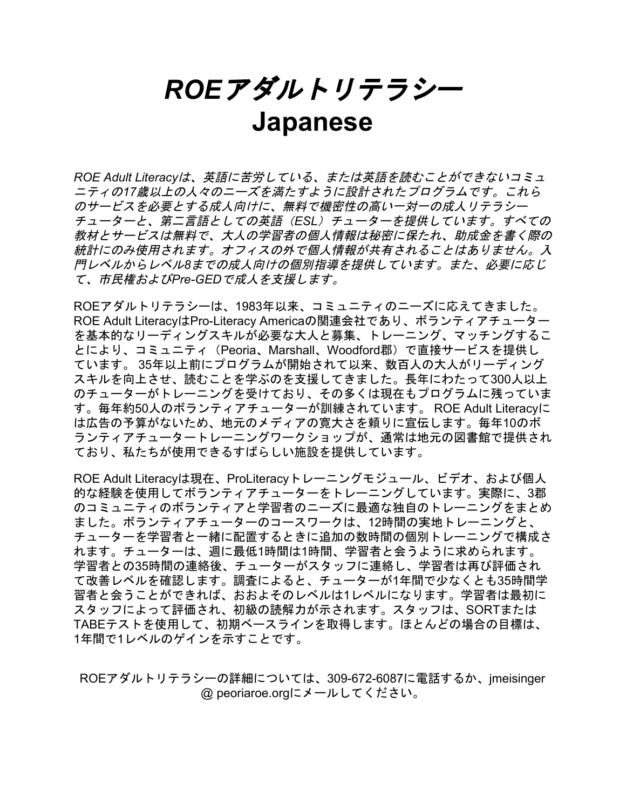*ROE*アダルトリテラシー **Japanese**

*ROE Adult Literacy*は、英語に苦労している、または英語を読むことができないコミュ ニティの*17*歳以上の人々のニーズを満たすように設計されたプログラムです。これら のサービスを必要とする成人向けに、無料で機密性の高い一対一の成人リテラシー チューターと、第二言語としての英語(*ESL*)チューターを提供しています。すべての 教材とサービスは無料で、大人の学習者の個人情報は秘密に保たれ、助成金を書く際の 統計にのみ使用されます。オフィスの外で個人情報が共有されることはありません。入 門レベルからレベル*8*までの成人向けの個別指導を提供しています。また、必要に応じ て、市民権および*Pre-GED*で成人を支援します。

ROEアダルトリテラシーは、1983年以来、コミュニティのニーズに応えてきました。 ROE Adult LiteracyはPro-Literacy Americaの関連会社であり、ボランティアチューター を基本的なリーディングスキルが必要な大人と募集、トレーニング、マッチングするこ とにより、コミュニティ(Peoria、Marshall、Woodford郡)で直接サービスを提供し ています。 35年以上前にプログラムが開始されて以来、数百人の大人がリーディング スキルを向上させ、読むことを学ぶのを支援してきました。長年にわたって300人以上 のチューターがトレーニングを受けており、その多くは現在もプログラムに残っていま す。毎年約50人のボランティアチューターが訓練されています。 ROE Adult Literacyに は広告の予算がないため、地元のメディアの寛大さを頼りに宣伝します。毎年10のボ ランティアチュータートレーニングワークショップが、通常は地元の図書館で提供され ており、私たちが使用できるすばらしい施設を提供しています。

ROE Adult Literacyは現在、ProLiteracyトレーニングモジュール、ビデオ、および個人 的な経験を使用してボランティアチューターをトレーニングしています。実際に、3郡 のコミュニティのボランティアと学習者のニーズに最適な独自のトレーニングをまとめ ました。ボランティアチューターのコースワークは、12時間の実地トレーニングと、 チューターを学習者と一緒に配置するときに追加の数時間の個別トレーニングで構成さ れます。チューターは、週に最低1時間は1時間、学習者と会うように求められます。 学習者との35時間の連絡後、チューターがスタッフに連絡し、学習者は再び評価され て改善レベルを確認します。調査によると、チューターが1年間で少なくとも35時間学 習者と会うことができれば、おおよそのレベルは1レベルになります。学習者は最初に スタッフによって評価され、初級の読解力が示されます。スタッフは、SORTまたは TABEテストを使用して、初期ベースラインを取得します。ほとんどの場合の目標は、 1年間で1レベルのゲインを示すことです。

ROEアダルトリテラシーの詳細については、309-672-6087に電話するか、jmeisinger @ peoriaroe.orgにメールしてください。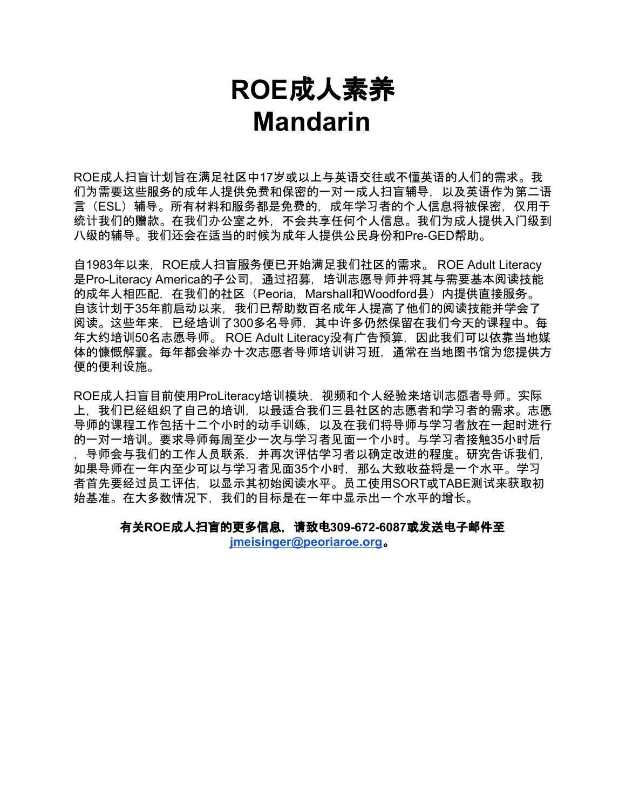### **ROE**成人素养 **Mandarin**

ROE成人扫盲计划旨在满足社区中17岁或以上与英语交往或不懂英语的人们的需求。我 们为需要这些服务的成年人提供免费和保密的一对一成人扫盲辅导,以及英语作为第二语 言(ESL)辅导。所有材料和服务都是免费的,成年学习者的个人信息将被保密,仅用于 统计我们的赠款。在我们办公室之外,不会共享任何个人信息。我们为成人提供入门级到 八级的辅导。我们还会在适当的时候为成年人提供公民身份和Pre-GED帮助。

自1983年以来,ROE成人扫盲服务便已开始满足我们社区的需求。 ROE Adult Literacy 是Pro-Literacy America的子公司, 通过招募, 培训志愿导师并将其与需要基本阅读技能 的成年人相匹配,在我们的社区 (Peoria, Marshall和Woodford县) 内提供直接服务。 自该计划于35年前启动以来,我们已帮助数百名成年人提高了他们的阅读技能并学会了 阅读。这些年来,已经培训了300多名导师,其中许多仍然保留在我们今天的课程中。每 年大约培训50名志愿导师。 ROE Adult Literacy没有广告预算,因此我们可以依靠当地媒 体的慷慨解囊。每年都会举办十次志愿者导师培训讲习班,通常在当地图书馆为您提供方 便的便利设施。

ROE成人扫盲目前使用ProLiteracy培训模块,视频和个人经验来培训志愿者导师。实际 上,我们已经组织了自己的培训,以最适合我们三县社区的志愿者和学习者的需求。志愿 导师的课程工作包括十二个小时的动手训练,以及在我们将导师与学习者放在一起时进行 的一对一培训。要求导师每周至少一次与学习者见面一个小时。与学习者接触35小时后 ,导师会与我们的工作人员联系,并再次评估学习者以确定改进的程度。研究告诉我们, 如果导师在一年内至少可以与学习者见面35个小时,那么大致收益将是一个水平。学习 者首先要经过员工评估,以显示其初始阅读水平。员工使用SORT或TABE测试来获取初 始基准。在大多数情况下,我们的目标是在一年中显示出一个水平的增长。

有关**ROE**成人扫盲的更多信息,请致电**309-672-6087**或发送电子邮件至 **[jmeisinger@peoriaroe.org](mailto:jmeisinger@peoriaroe.org)**。